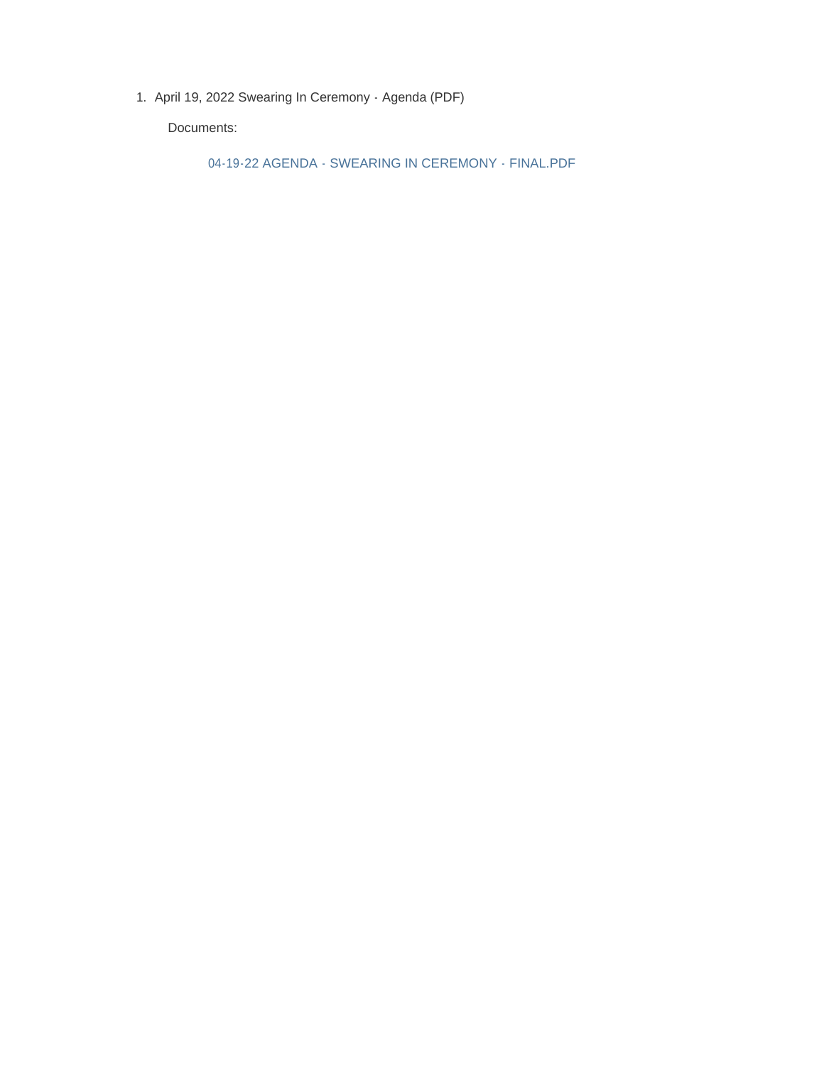1. April 19, 2022 Swearing In Ceremony - Agenda (PDF)

Documents:

04-19-22 AGENDA - SWEARING IN CEREMONY - FINAL.PDF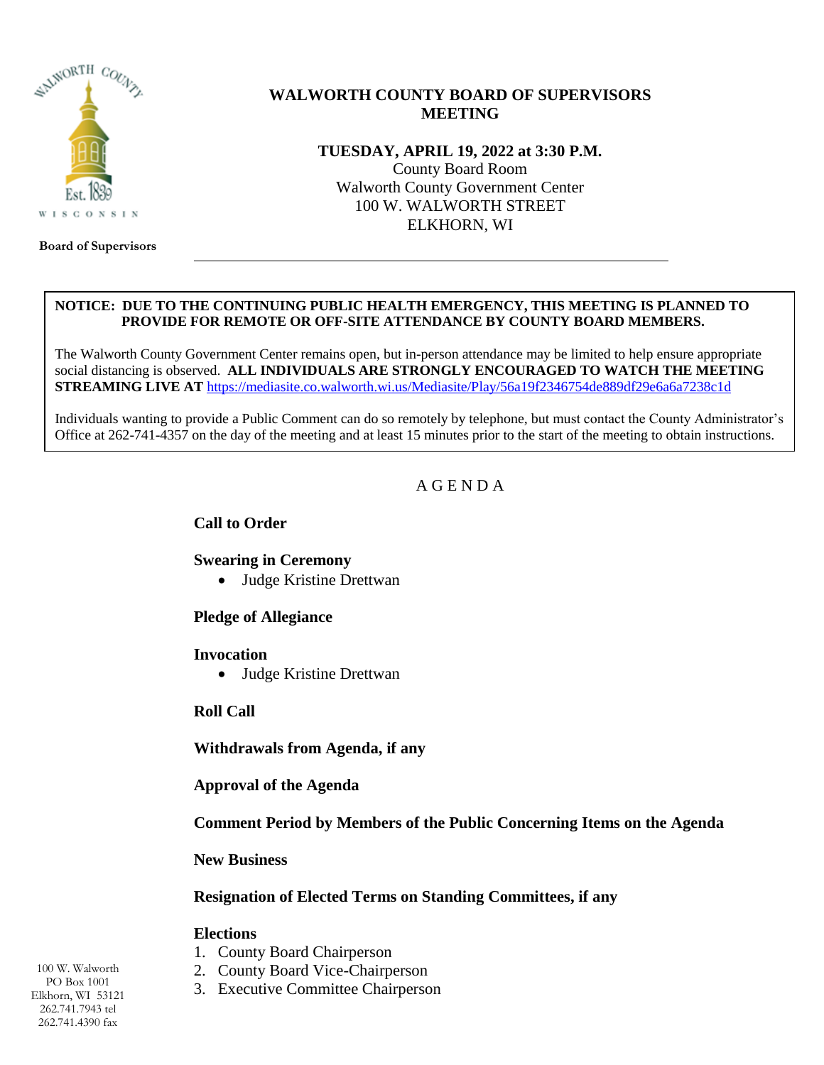

## **WALWORTH COUNTY BOARD OF SUPERVISORS MEETING**

**TUESDAY, APRIL 19, 2022 at 3:30 P.M.** County Board Room Walworth County Government Center 100 W. WALWORTH STREET ELKHORN, WI

**Board of Supervisors**

#### **NOTICE: DUE TO THE CONTINUING PUBLIC HEALTH EMERGENCY, THIS MEETING IS PLANNED TO PROVIDE FOR REMOTE OR OFF-SITE ATTENDANCE BY COUNTY BOARD MEMBERS.**

The Walworth County Government Center remains open, but in-person attendance may be limited to help ensure appropriate social distancing is observed. **ALL INDIVIDUALS ARE STRONGLY ENCOURAGED TO WATCH THE MEETING STREAMING LIVE AT** <https://mediasite.co.walworth.wi.us/Mediasite/Play/56a19f2346754de889df29e6a6a7238c1d>

Individuals wanting to provide a Public Comment can do so remotely by telephone, but must contact the County Administrator's Office at 262-741-4357 on the day of the meeting and at least 15 minutes prior to the start of the meeting to obtain instructions.

# A G E N D A

#### **Call to Order**

## **Swearing in Ceremony**

Judge Kristine Drettwan

## **Pledge of Allegiance**

#### **Invocation**

Judge Kristine Drettwan

## **Roll Call**

**Withdrawals from Agenda, if any**

**Approval of the Agenda**

**Comment Period by Members of the Public Concerning Items on the Agenda**

**New Business**

## **Resignation of Elected Terms on Standing Committees, if any**

#### **Elections**

- 1. County Board Chairperson
- 2. County Board Vice-Chairperson
- 3. Executive Committee Chairperson

100 W. Walworth PO Box 1001 Elkhorn, WI 53121 262.741.7943 tel 262.741.4390 fax